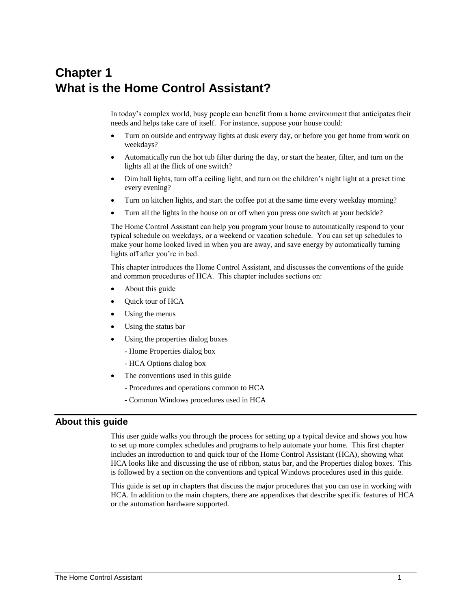# **Chapter 1 What is the Home Control Assistant?**

In today's complex world, busy people can benefit from a home environment that anticipates their needs and helps take care of itself. For instance, suppose your house could:

- Turn on outside and entryway lights at dusk every day, or before you get home from work on weekdays?
- Automatically run the hot tub filter during the day, or start the heater, filter, and turn on the lights all at the flick of one switch?
- Dim hall lights, turn off a ceiling light, and turn on the children's night light at a preset time every evening?
- Turn on kitchen lights, and start the coffee pot at the same time every weekday morning?
- Turn all the lights in the house on or off when you press one switch at your bedside?

The Home Control Assistant can help you program your house to automatically respond to your typical schedule on weekdays, or a weekend or vacation schedule. You can set up schedules to make your home looked lived in when you are away, and save energy by automatically turning lights off after you're in bed.

This chapter introduces the Home Control Assistant, and discusses the conventions of the guide and common procedures of HCA. This chapter includes sections on:

- About this guide
- Quick tour of HCA
- Using the menus
- Using the status bar
- Using the properties dialog boxes
	- Home Properties dialog box
	- HCA Options dialog box
- The conventions used in this guide
	- Procedures and operations common to HCA
	- Common Windows procedures used in HCA

# **About this guide**

This user guide walks you through the process for setting up a typical device and shows you how to set up more complex schedules and programs to help automate your home. This first chapter includes an introduction to and quick tour of the Home Control Assistant (HCA), showing what HCA looks like and discussing the use of ribbon, status bar, and the Properties dialog boxes. This is followed by a section on the conventions and typical Windows procedures used in this guide.

This guide is set up in chapters that discuss the major procedures that you can use in working with HCA. In addition to the main chapters, there are appendixes that describe specific features of HCA or the automation hardware supported.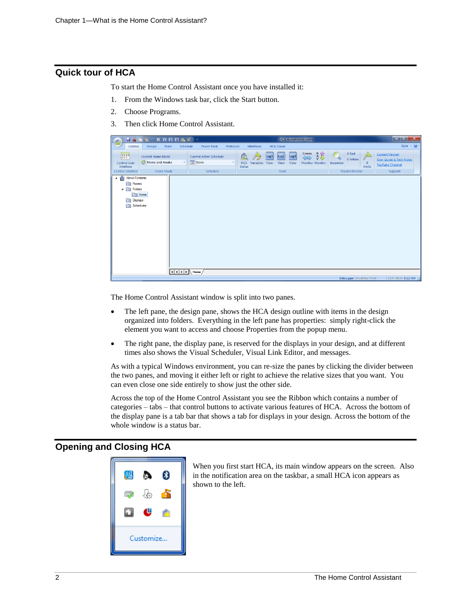# **Quick tour of HCA**

To start the Home Control Assistant once you have installed it:

- 1. From the Windows task bar, click the Start button.
- 2. Choose Programs.
- 3. Then click Home Control Assistant.



The Home Control Assistant window is split into two panes.

- The left pane, the design pane, shows the HCA design outline with items in the design organized into folders. Everything in the left pane has properties: simply right-click the element you want to access and choose Properties from the popup menu.
- The right pane, the display pane, is reserved for the displays in your design, and at different times also shows the Visual Scheduler, Visual Link Editor, and messages.

As with a typical Windows environment, you can re-size the panes by clicking the divider between the two panes, and moving it either left or right to achieve the relative sizes that you want. You can even close one side entirely to show just the other side.

Across the top of the Home Control Assistant you see the Ribbon which contains a number of categories – tabs – that control buttons to activate various features of HCA. Across the bottom of the display pane is a tab bar that shows a tab for displays in your design. Across the bottom of the whole window is a status bar.

# **Opening and Closing HCA**



When you first start HCA, its main window appears on the screen. Also in the notification area on the taskbar, a small HCA icon appears as shown to the left.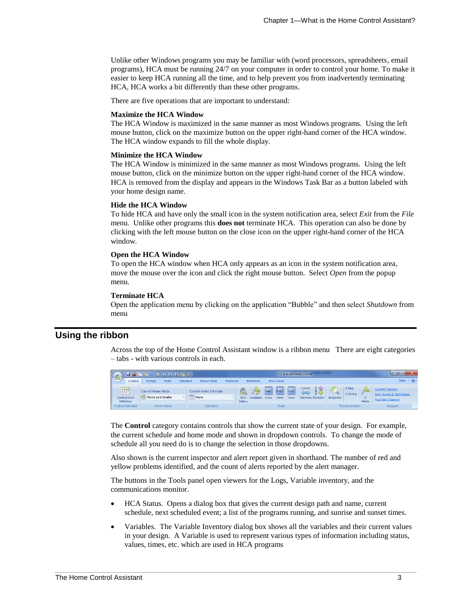Unlike other Windows programs you may be familiar with (word processors, spreadsheets, email programs), HCA must be running 24/7 on your computer in order to control your home. To make it easier to keep HCA running all the time, and to help prevent you from inadvertently terminating HCA, HCA works a bit differently than these other programs.

There are five operations that are important to understand:

#### **Maximize the HCA Window**

The HCA Window is maximized in the same manner as most Windows programs. Using the left mouse button, click on the maximize button on the upper right-hand corner of the HCA window. The HCA window expands to fill the whole display.

#### **Minimize the HCA Window**

The HCA Window is minimized in the same manner as most Windows programs. Using the left mouse button, click on the minimize button on the upper right-hand corner of the HCA window. HCA is removed from the display and appears in the Windows Task Bar as a button labeled with your home design name.

#### **Hide the HCA Window**

To hide HCA and have only the small icon in the system notification area, select *Exit* from the *File* menu. Unlike other programs this **does not** terminate HCA. This operation can also be done by clicking with the left mouse button on the close icon on the upper right-hand corner of the HCA window.

#### **Open the HCA Window**

To open the HCA window when HCA only appears as an icon in the system notification area, move the mouse over the icon and click the right mouse button. Select *Open* from the popup menu.

#### **Terminate HCA**

Open the application menu by clicking on the application "Bubble" and then select *Shutdown* from menu

## **Using the ribbon**

Across the top of the Home Control Assistant window is a ribbon menu There are eight categories – tabs - with various controls in each.



The **Control** category contains controls that show the current state of your design. For example, the current schedule and home mode and shown in dropdown controls. To change the mode of schedule all you need do is to change the selection in those dropdowns.

Also shown is the current inspector and alert report given in shorthand. The number of red and yellow problems identified, and the count of alerts reported by the alert manager.

The buttons in the Tools panel open viewers for the Logs, Variable inventory, and the communications monitor.

- HCA Status. Opens a dialog box that gives the current design path and name, current schedule, next scheduled event; a list of the programs running, and sunrise and sunset times.
- Variables. The Variable Inventory dialog box shows all the variables and their current values in your design. A Variable is used to represent various types of information including status, values, times, etc. which are used in HCA programs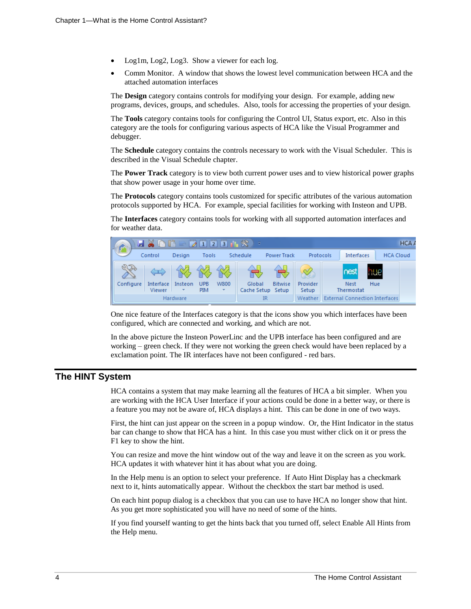- Log1m, Log2, Log3. Show a viewer for each log.
- Comm Monitor. A window that shows the lowest level communication between HCA and the attached automation interfaces

The **Design** category contains controls for modifying your design. For example, adding new programs, devices, groups, and schedules. Also, tools for accessing the properties of your design.

The **Tools** category contains tools for configuring the Control UI, Status export, etc. Also in this category are the tools for configuring various aspects of HCA like the Visual Programmer and debugger.

The **Schedule** category contains the controls necessary to work with the Visual Scheduler. This is described in the Visual Schedule chapter.

The **Power Track** category is to view both current power uses and to view historical power graphs that show power usage in your home over time.

The **Protocols** category contains tools customized for specific attributes of the various automation protocols supported by HCA. For example, special facilities for working with Insteon and UPB.

The **Interfaces** category contains tools for working with all supported automation interfaces and for weather data.



One nice feature of the Interfaces category is that the icons show you which interfaces have been configured, which are connected and working, and which are not.

In the above picture the Insteon PowerLinc and the UPB interface has been configured and are working – green check. If they were not working the green check would have been replaced by a exclamation point. The IR interfaces have not been configured - red bars.

# **The HINT System**

HCA contains a system that may make learning all the features of HCA a bit simpler. When you are working with the HCA User Interface if your actions could be done in a better way, or there is a feature you may not be aware of, HCA displays a hint. This can be done in one of two ways.

First, the hint can just appear on the screen in a popup window. Or, the Hint Indicator in the status bar can change to show that HCA has a hint. In this case you must wither click on it or press the F1 key to show the hint.

You can resize and move the hint window out of the way and leave it on the screen as you work. HCA updates it with whatever hint it has about what you are doing.

In the Help menu is an option to select your preference. If Auto Hint Display has a checkmark next to it, hints automatically appear. Without the checkbox the start bar method is used.

On each hint popup dialog is a checkbox that you can use to have HCA no longer show that hint. As you get more sophisticated you will have no need of some of the hints.

If you find yourself wanting to get the hints back that you turned off, select Enable All Hints from the Help menu.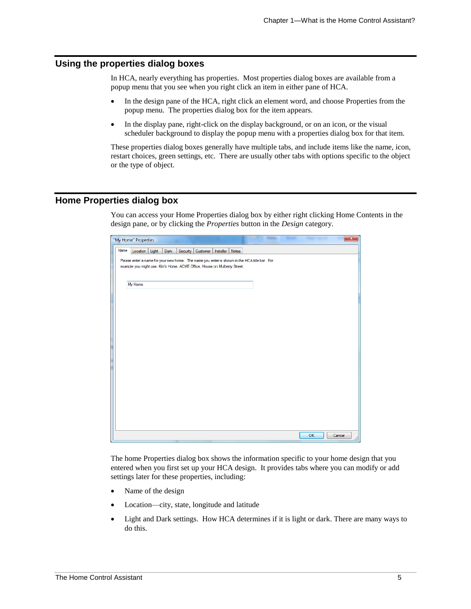# **Using the properties dialog boxes**

In HCA, nearly everything has properties. Most properties dialog boxes are available from a popup menu that you see when you right click an item in either pane of HCA.

- In the design pane of the HCA, right click an element word, and choose Properties from the popup menu. The properties dialog box for the item appears.
- In the display pane, right-click on the display background, or on an icon, or the visual scheduler background to display the popup menu with a properties dialog box for that item.

These properties dialog boxes generally have multiple tabs, and include items like the name, icon, restart choices, green settings, etc. There are usually other tabs with options specific to the object or the type of object.

# **Home Properties dialog box**

You can access your Home Properties dialog box by either right clicking Home Contents in the design pane, or by clicking the *Properties* button in the *Design* category.

|      | "My Home" Properties                                                                         |      |                                   |  | <b>STATISTICS</b> | <b>Hillman</b> | <b>The Contract</b> |        | $\mathbf{x}$ |
|------|----------------------------------------------------------------------------------------------|------|-----------------------------------|--|-------------------|----------------|---------------------|--------|--------------|
| Name | Location Light                                                                               | Dark | Security Customer Installer Notes |  |                   |                |                     |        |              |
|      | Please enter a name for your new home. The name you enter is shown in the HCA title bar. For |      |                                   |  |                   |                |                     |        |              |
|      | example you might use, Kim's Home, ACME Office, House on Mulberry Street.                    |      |                                   |  |                   |                |                     |        |              |
|      |                                                                                              |      |                                   |  |                   |                |                     |        |              |
|      | My Home                                                                                      |      |                                   |  |                   |                |                     |        |              |
|      |                                                                                              |      |                                   |  |                   |                |                     |        |              |
|      |                                                                                              |      |                                   |  |                   |                |                     |        |              |
|      |                                                                                              |      |                                   |  |                   |                |                     |        |              |
|      |                                                                                              |      |                                   |  |                   |                |                     |        |              |
|      |                                                                                              |      |                                   |  |                   |                |                     |        |              |
|      |                                                                                              |      |                                   |  |                   |                |                     |        |              |
|      |                                                                                              |      |                                   |  |                   |                |                     |        |              |
|      |                                                                                              |      |                                   |  |                   |                |                     |        |              |
|      |                                                                                              |      |                                   |  |                   |                |                     |        |              |
|      |                                                                                              |      |                                   |  |                   |                |                     |        |              |
|      |                                                                                              |      |                                   |  |                   |                |                     |        |              |
|      |                                                                                              |      |                                   |  |                   |                |                     |        |              |
|      |                                                                                              |      |                                   |  |                   |                |                     |        |              |
|      |                                                                                              |      |                                   |  |                   |                |                     |        |              |
|      |                                                                                              |      |                                   |  |                   |                |                     |        |              |
|      |                                                                                              |      |                                   |  |                   |                | OK                  | Cancel |              |

The home Properties dialog box shows the information specific to your home design that you entered when you first set up your HCA design. It provides tabs where you can modify or add settings later for these properties, including:

- Name of the design
- Location—city, state, longitude and latitude
- Light and Dark settings. How HCA determines if it is light or dark. There are many ways to do this.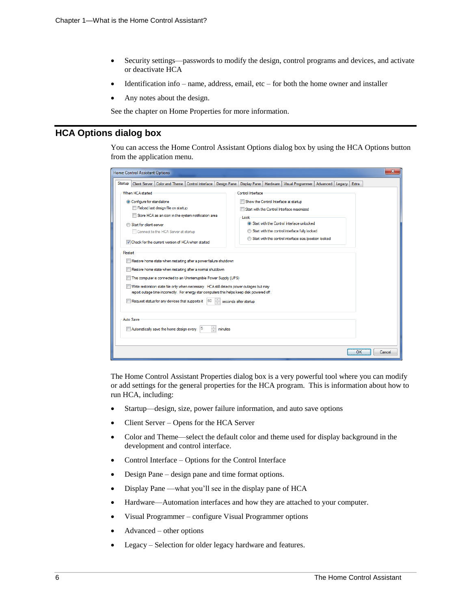- Security settings—passwords to modify the design, control programs and devices, and activate or deactivate HCA
- Identification info name, address, email,  $etc$  for both the home owner and installer
- Any notes about the design.

See the chapter on Home Properties for more information.

# **HCA Options dialog box**

You can access the Home Control Assistant Options dialog box by using the HCA Options button from the application menu.

| $\overline{\mathbf{x}}$<br><b>Home Control Assistant Options</b>                            |                                                                                     |  |  |  |  |  |
|---------------------------------------------------------------------------------------------|-------------------------------------------------------------------------------------|--|--|--|--|--|
| Startup<br>Color and Theme<br><b>Client Server</b><br>Control Interface<br>Design Pane      | Display Pane<br>Hardware<br><b>Visual Programmer</b><br>Advanced<br>Extra<br>Legacy |  |  |  |  |  |
| When HCA started                                                                            | Control Interface                                                                   |  |  |  |  |  |
| © Configure for standalone                                                                  | Show the Control Interface at startup                                               |  |  |  |  |  |
| Reload last design file on startup                                                          | Start with the Control Interface maximized                                          |  |  |  |  |  |
| Store HCA as an icon in the system notification area                                        | Lock                                                                                |  |  |  |  |  |
| Start for client-server                                                                     | Start with the Control Interface unlocked                                           |  |  |  |  |  |
| Connect to the HCA Server at startup                                                        | Start with the control interface fully locked                                       |  |  |  |  |  |
| To Check for the current version of HCA when started                                        | Start with the control interface size/position locked                               |  |  |  |  |  |
| Restart                                                                                     |                                                                                     |  |  |  |  |  |
| Restore home state when restarting after a power failure shutdown                           |                                                                                     |  |  |  |  |  |
| Restore home state when restarting after a normal shutdown                                  |                                                                                     |  |  |  |  |  |
| This computer is connected to an Uninterruptible Power Supply (UPS)                         |                                                                                     |  |  |  |  |  |
| Write restoration state file only when necessary. HCA still detects power outages but may   |                                                                                     |  |  |  |  |  |
| report outage time incorrectly. For energy star computers this helps keep disk powered off. |                                                                                     |  |  |  |  |  |
| ÷<br>Request status for any devices that supports it<br>60<br>seconds after startup         |                                                                                     |  |  |  |  |  |
|                                                                                             |                                                                                     |  |  |  |  |  |
| Auto Save                                                                                   |                                                                                     |  |  |  |  |  |
| $\frac{1}{x}$<br>Automatically save the home design every<br>15<br>minutes                  |                                                                                     |  |  |  |  |  |
|                                                                                             |                                                                                     |  |  |  |  |  |
|                                                                                             |                                                                                     |  |  |  |  |  |
|                                                                                             | OK<br>Cancel                                                                        |  |  |  |  |  |

The Home Control Assistant Properties dialog box is a very powerful tool where you can modify or add settings for the general properties for the HCA program. This is information about how to run HCA, including:

- Startup—design, size, power failure information, and auto save options
- Client Server Opens for the HCA Server
- Color and Theme—select the default color and theme used for display background in the development and control interface.
- Control Interface Options for the Control Interface
- Design Pane design pane and time format options.
- Display Pane —what you'll see in the display pane of HCA
- Hardware—Automation interfaces and how they are attached to your computer.
- Visual Programmer configure Visual Programmer options
- Advanced other options
- Legacy Selection for older legacy hardware and features.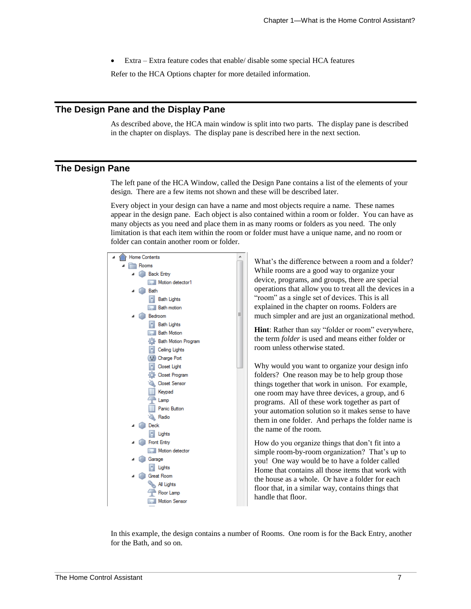• Extra – Extra feature codes that enable/ disable some special HCA features

Refer to the HCA Options chapter for more detailed information.

# **The Design Pane and the Display Pane**

As described above, the HCA main window is split into two parts. The display pane is described in the chapter on displays. The display pane is described here in the next section.

# **The Design Pane**

The left pane of the HCA Window, called the Design Pane contains a list of the elements of your design. There are a few items not shown and these will be described later.

Every object in your design can have a name and most objects require a name. These names appear in the design pane. Each object is also contained within a room or folder. You can have as many objects as you need and place them in as many rooms or folders as you need. The only limitation is that each item within the room or folder must have a unique name, and no room or folder can contain another room or folder.



What's the difference between a room and a folder? While rooms are a good way to organize your device, programs, and groups, there are special operations that allow you to treat all the devices in a "room" as a single set of devices. This is all explained in the chapter on rooms. Folders are much simpler and are just an organizational method.

**Hint**: Rather than say "folder or room" everywhere, the term *folder* is used and means either folder or room unless otherwise stated.

Why would you want to organize your design info folders? One reason may be to help group those things together that work in unison. For example, one room may have three devices, a group, and 6 programs. All of these work together as part of your automation solution so it makes sense to have them in one folder. And perhaps the folder name is the name of the room.

How do you organize things that don't fit into a simple room-by-room organization? That's up to you! One way would be to have a folder called Home that contains all those items that work with the house as a whole. Or have a folder for each floor that, in a similar way, contains things that handle that floor.

In this example, the design contains a number of Rooms. One room is for the Back Entry, another for the Bath, and so on.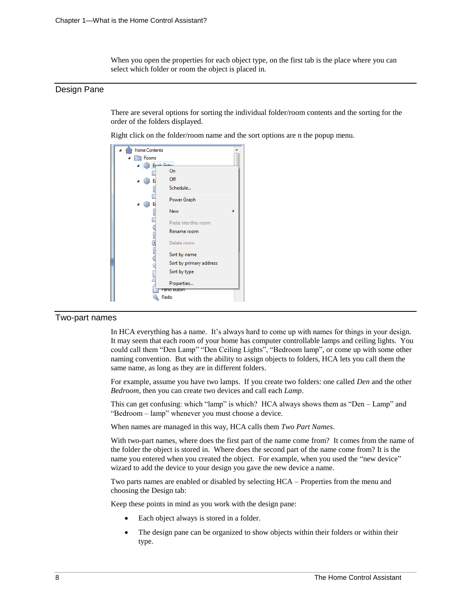When you open the properties for each object type, on the first tab is the place where you can select which folder or room the object is placed in.

## Design Pane

There are several options for sorting the individual folder/room contents and the sorting for the order of the folders displayed.

Right click on the folder/room name and the sort options are n the popup menu.

| <b>Home Contents</b> |                         |
|----------------------|-------------------------|
| Rooms                |                         |
| <b>Bank Fistor</b>   |                         |
|                      | On                      |
| В                    | Off                     |
|                      | Schedule                |
| В                    | Power Graph             |
|                      | <b>New</b><br>Þ         |
|                      | Paste into this room    |
|                      | Rename room             |
|                      | Delete room             |
|                      | Sort by name            |
|                      | Sort by primary address |
|                      | Sort by type            |
|                      | Properties              |
|                      | ranic Button            |
|                      | Radio                   |

#### Two-part names

In HCA everything has a name. It's always hard to come up with names for things in your design. It may seem that each room of your home has computer controllable lamps and ceiling lights. You could call them "Den Lamp" "Den Ceiling Lights", "Bedroom lamp", or come up with some other naming convention. But with the ability to assign objects to folders, HCA lets you call them the same name, as long as they are in different folders.

For example, assume you have two lamps. If you create two folders: one called *Den* and the other *Bedroom*, then you can create two devices and call each *Lamp*.

This can get confusing: which "lamp" is which? HCA always shows them as "Den – Lamp" and "Bedroom – lamp" whenever you must choose a device.

When names are managed in this way, HCA calls them *Two Part Names*.

With two-part names, where does the first part of the name come from? It comes from the name of the folder the object is stored in. Where does the second part of the name come from? It is the name you entered when you created the object. For example, when you used the "new device" wizard to add the device to your design you gave the new device a name.

Two parts names are enabled or disabled by selecting HCA – Properties from the menu and choosing the Design tab:

Keep these points in mind as you work with the design pane:

- Each object always is stored in a folder.
- The design pane can be organized to show objects within their folders or within their type.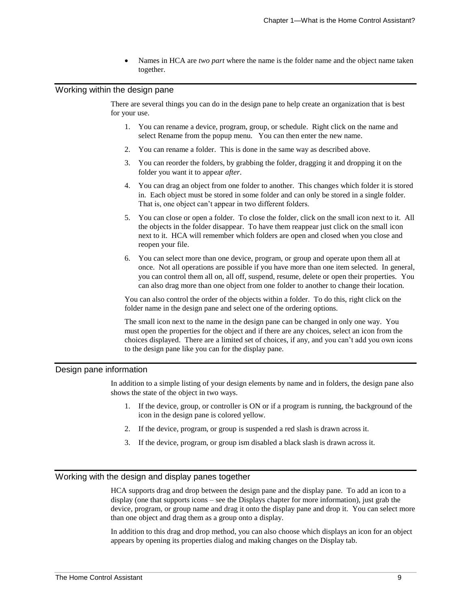• Names in HCA are *two part* where the name is the folder name and the object name taken together.

#### Working within the design pane

There are several things you can do in the design pane to help create an organization that is best for your use.

- 1. You can rename a device, program, group, or schedule. Right click on the name and select Rename from the popup menu. You can then enter the new name.
- 2. You can rename a folder. This is done in the same way as described above.
- 3. You can reorder the folders, by grabbing the folder, dragging it and dropping it on the folder you want it to appear *after*.
- 4. You can drag an object from one folder to another. This changes which folder it is stored in. Each object must be stored in some folder and can only be stored in a single folder. That is, one object can't appear in two different folders.
- 5. You can close or open a folder. To close the folder, click on the small icon next to it. All the objects in the folder disappear. To have them reappear just click on the small icon next to it. HCA will remember which folders are open and closed when you close and reopen your file.
- 6. You can select more than one device, program, or group and operate upon them all at once. Not all operations are possible if you have more than one item selected. In general, you can control them all on, all off, suspend, resume, delete or open their properties. You can also drag more than one object from one folder to another to change their location.

You can also control the order of the objects within a folder. To do this, right click on the folder name in the design pane and select one of the ordering options.

The small icon next to the name in the design pane can be changed in only one way. You must open the properties for the object and if there are any choices, select an icon from the choices displayed. There are a limited set of choices, if any, and you can't add you own icons to the design pane like you can for the display pane.

## Design pane information

In addition to a simple listing of your design elements by name and in folders, the design pane also shows the state of the object in two ways.

- 1. If the device, group, or controller is ON or if a program is running, the background of the icon in the design pane is colored yellow.
- 2. If the device, program, or group is suspended a red slash is drawn across it.
- 3. If the device, program, or group ism disabled a black slash is drawn across it.

## Working with the design and display panes together

HCA supports drag and drop between the design pane and the display pane. To add an icon to a display (one that supports icons – see the Displays chapter for more information), just grab the device, program, or group name and drag it onto the display pane and drop it. You can select more than one object and drag them as a group onto a display.

In addition to this drag and drop method, you can also choose which displays an icon for an object appears by opening its properties dialog and making changes on the Display tab.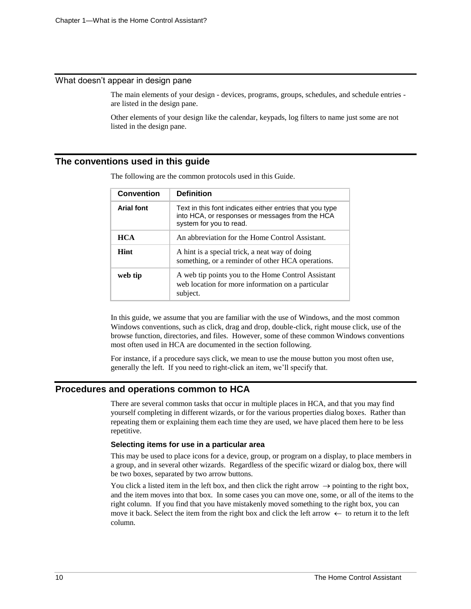## What doesn't appear in design pane

The main elements of your design - devices, programs, groups, schedules, and schedule entries are listed in the design pane.

Other elements of your design like the calendar, keypads, log filters to name just some are not listed in the design pane.

## **The conventions used in this guide**

| <b>Convention</b> | <b>Definition</b>                                                                                                                      |
|-------------------|----------------------------------------------------------------------------------------------------------------------------------------|
| <b>Arial font</b> | Text in this font indicates either entries that you type<br>into HCA, or responses or messages from the HCA<br>system for you to read. |
| <b>HCA</b>        | An abbreviation for the Home Control Assistant.                                                                                        |
| Hint              | A hint is a special trick, a neat way of doing<br>something, or a reminder of other HCA operations.                                    |
| web tip           | A web tip points you to the Home Control Assistant<br>web location for more information on a particular<br>subject.                    |

The following are the common protocols used in this Guide.

In this guide, we assume that you are familiar with the use of Windows, and the most common Windows conventions, such as click, drag and drop, double-click, right mouse click, use of the browse function, directories, and files. However, some of these common Windows conventions most often used in HCA are documented in the section following.

For instance, if a procedure says click, we mean to use the mouse button you most often use, generally the left. If you need to right-click an item, we'll specify that.

# **Procedures and operations common to HCA**

There are several common tasks that occur in multiple places in HCA, and that you may find yourself completing in different wizards, or for the various properties dialog boxes. Rather than repeating them or explaining them each time they are used, we have placed them here to be less repetitive.

#### **Selecting items for use in a particular area**

This may be used to place icons for a device, group, or program on a display, to place members in a group, and in several other wizards. Regardless of the specific wizard or dialog box, there will be two boxes, separated by two arrow buttons.

You click a listed item in the left box, and then click the right arrow  $\rightarrow$  pointing to the right box, and the item moves into that box. In some cases you can move one, some, or all of the items to the right column. If you find that you have mistakenly moved something to the right box, you can move it back. Select the item from the right box and click the left arrow  $\leftarrow$  to return it to the left column.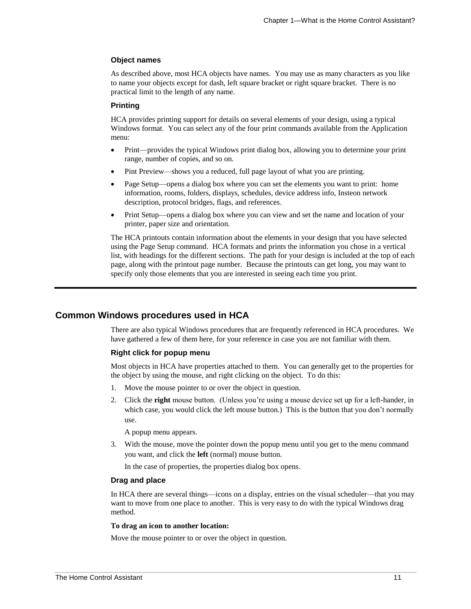### **Object names**

As described above, most HCA objects have names. You may use as many characters as you like to name your objects except for dash, left square bracket or right square bracket. There is no practical limit to the length of any name.

#### **Printing**

HCA provides printing support for details on several elements of your design, using a typical Windows format. You can select any of the four print commands available from the Application menu:

- Print—provides the typical Windows print dialog box, allowing you to determine your print range, number of copies, and so on.
- Pint Preview—shows you a reduced, full page layout of what you are printing.
- Page Setup—opens a dialog box where you can set the elements you want to print: home information, rooms, folders, displays, schedules, device address info, Insteon network description, protocol bridges, flags, and references.
- Print Setup—opens a dialog box where you can view and set the name and location of your printer, paper size and orientation.

The HCA printouts contain information about the elements in your design that you have selected using the Page Setup command. HCA formats and prints the information you chose in a vertical list, with headings for the different sections. The path for your design is included at the top of each page, along with the printout page number. Because the printouts can get long, you may want to specify only those elements that you are interested in seeing each time you print.

# **Common Windows procedures used in HCA**

There are also typical Windows procedures that are frequently referenced in HCA procedures. We have gathered a few of them here, for your reference in case you are not familiar with them.

#### **Right click for popup menu**

Most objects in HCA have properties attached to them. You can generally get to the properties for the object by using the mouse, and right clicking on the object. To do this:

- 1. Move the mouse pointer to or over the object in question.
- 2. Click the **right** mouse button. (Unless you're using a mouse device set up for a left-hander, in which case, you would click the left mouse button.) This is the button that you don't normally use.

A popup menu appears.

3. With the mouse, move the pointer down the popup menu until you get to the menu command you want, and click the **left** (normal) mouse button.

In the case of properties, the properties dialog box opens.

#### **Drag and place**

In HCA there are several things—icons on a display, entries on the visual scheduler—that you may want to move from one place to another. This is very easy to do with the typical Windows drag method.

#### **To drag an icon to another location:**

Move the mouse pointer to or over the object in question.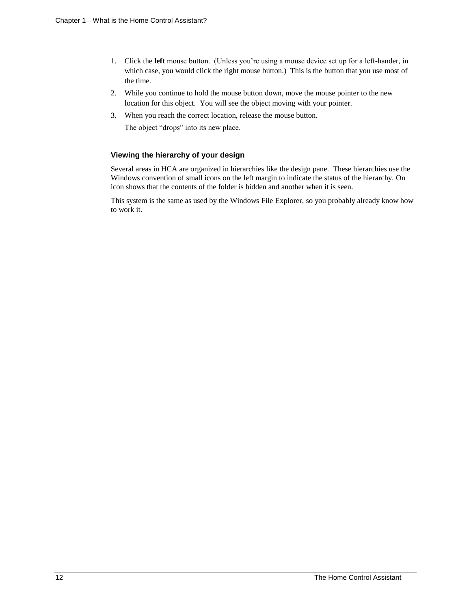- 1. Click the **left** mouse button. (Unless you're using a mouse device set up for a left-hander, in which case, you would click the right mouse button.) This is the button that you use most of the time.
- 2. While you continue to hold the mouse button down, move the mouse pointer to the new location for this object. You will see the object moving with your pointer.
- 3. When you reach the correct location, release the mouse button. The object "drops" into its new place.

## **Viewing the hierarchy of your design**

Several areas in HCA are organized in hierarchies like the design pane. These hierarchies use the Windows convention of small icons on the left margin to indicate the status of the hierarchy. On icon shows that the contents of the folder is hidden and another when it is seen.

This system is the same as used by the Windows File Explorer, so you probably already know how to work it.